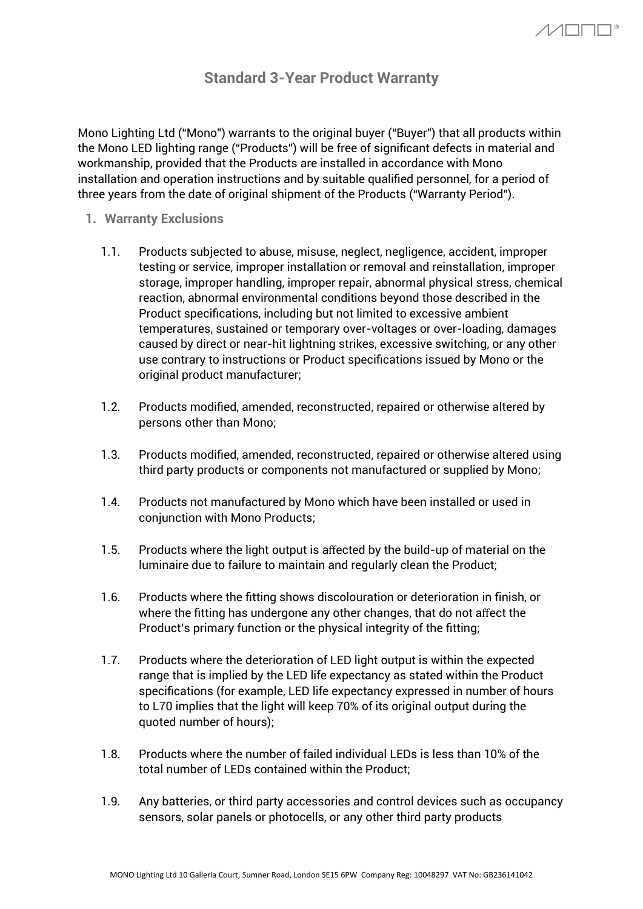## **Standard 3-Year Product Warranty**

Mono Lighting Ltd ("Mono") warrants to the original buyer ("Buyer") that all products within the Mono LED lighting range ("Products") will be free of significant defects in material and workmanship, provided that the Products are installed in accordance with Mono installation and operation instructions and by suitable qualified personnel, for a period of three years from the date of original shipment of the Products ("Warranty Period").

- **1. Warranty Exclusions**
	- 1.1. Products subjected to abuse, misuse, neglect, negligence, accident, improper testing or service, improper installation or removal and reinstallation, improper storage, improper handling, improper repair, abnormal physical stress, chemical reaction, abnormal environmental conditions beyond those described in the Product specifications, including but not limited to excessive ambient temperatures, sustained or temporary over-voltages or over-loading, damages caused by direct or near-hit lightning strikes, excessive switching, or any other use contrary to instructions or Product specifications issued by Mono or the original product manufacturer;
	- 1.2. Products modified, amended, reconstructed, repaired or otherwise altered by persons other than Mono;
	- 1.3. Products modified, amended, reconstructed, repaired or otherwise altered using third party products or components not manufactured or supplied by Mono;
	- 1.4. Products not manufactured by Mono which have been installed or used in conjunction with Mono Products;
	- 1.5. Products where the light output is affected by the build-up of material on the luminaire due to failure to maintain and regularly clean the Product;
	- 1.6. Products where the fitting shows discolouration or deterioration in finish, or where the fitting has undergone any other changes, that do not affect the Product's primary function or the physical integrity of the fitting;
	- 1.7. Products where the deterioration of LED light output is within the expected range that is implied by the LED life expectancy as stated within the Product specifications (for example, LED life expectancy expressed in number of hours to L70 implies that the light will keep 70% of its original output during the quoted number of hours);
	- 1.8. Products where the number of failed individual LEDs is less than 10% of the total number of LEDs contained within the Product;
	- 1.9. Any batteries, or third party accessories and control devices such as occupancy sensors, solar panels or photocells, or any other third party products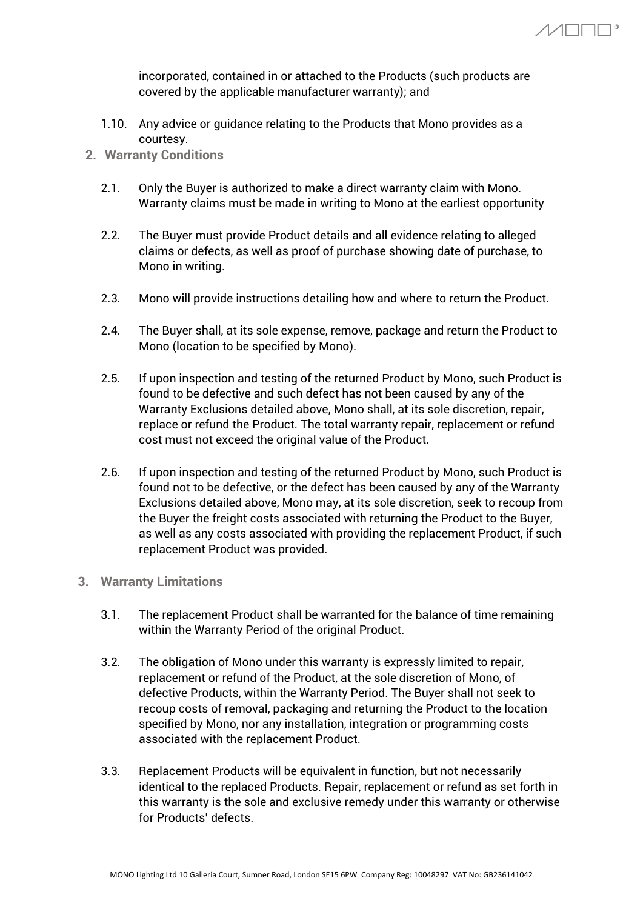incorporated, contained in or attached to the Products (such products are covered by the applicable manufacturer warranty); and

- 1.10. Any advice or guidance relating to the Products that Mono provides as a courtesy.
- **2. Warranty Conditions**
	- 2.1. Only the Buyer is authorized to make a direct warranty claim with Mono. Warranty claims must be made in writing to Mono at the earliest opportunity
	- 2.2. The Buyer must provide Product details and all evidence relating to alleged claims or defects, as well as proof of purchase showing date of purchase, to Mono in writing.
	- 2.3. Mono will provide instructions detailing how and where to return the Product.
	- 2.4. The Buyer shall, at its sole expense, remove, package and return the Product to Mono (location to be specified by Mono).
	- 2.5. If upon inspection and testing of the returned Product by Mono, such Product is found to be defective and such defect has not been caused by any of the Warranty Exclusions detailed above, Mono shall, at its sole discretion, repair, replace or refund the Product. The total warranty repair, replacement or refund cost must not exceed the original value of the Product.
	- 2.6. If upon inspection and testing of the returned Product by Mono, such Product is found not to be defective, or the defect has been caused by any of the Warranty Exclusions detailed above, Mono may, at its sole discretion, seek to recoup from the Buyer the freight costs associated with returning the Product to the Buyer, as well as any costs associated with providing the replacement Product, if such replacement Product was provided.
- **3. Warranty Limitations**
	- 3.1. The replacement Product shall be warranted for the balance of time remaining within the Warranty Period of the original Product.
	- 3.2. The obligation of Mono under this warranty is expressly limited to repair, replacement or refund of the Product, at the sole discretion of Mono, of defective Products, within the Warranty Period. The Buyer shall not seek to recoup costs of removal, packaging and returning the Product to the location specified by Mono, nor any installation, integration or programming costs associated with the replacement Product.
	- 3.3. Replacement Products will be equivalent in function, but not necessarily identical to the replaced Products. Repair, replacement or refund as set forth in this warranty is the sole and exclusive remedy under this warranty or otherwise for Products' defects.